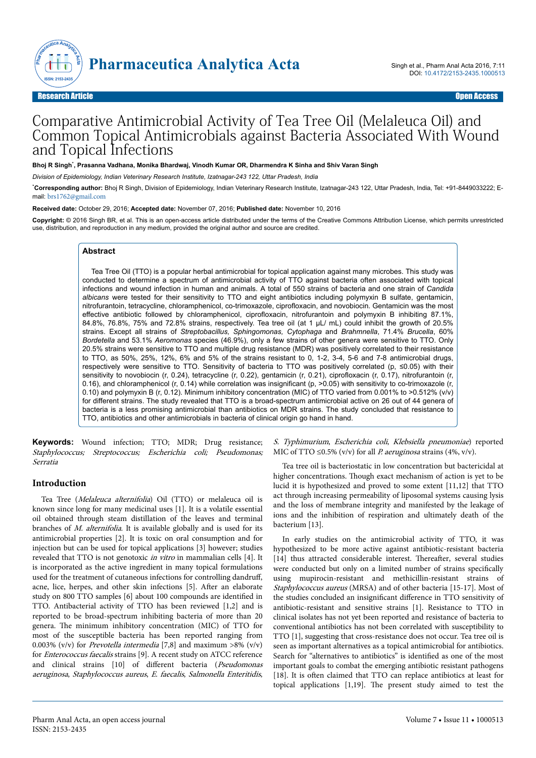

# Comparative Antimicrobial Activity of Tea Tree Oil (Melaleuca Oil) and Common Topical Antimicrobials against Bacteria Associated With Wound and Topical Infections

**Bhoj R Singh**\* **, Prasanna Vadhana, Monika Bhardwaj, Vinodh Kumar OR, Dharmendra K Sinha and Shiv Varan Singh**

*Division of Epidemiology, Indian Veterinary Research Institute, Izatnagar-243 122, Uttar Pradesh, India*

\***Corresponding author:** Bhoj R Singh, Division of Epidemiology, Indian Veterinary Research Institute, Izatnagar-243 122, Uttar Pradesh, India, Tel: +91-8449033222; Email: [brs1762@gmail.com](mailto:brs1762@gmail.com)

**Received date:** October 29, 2016; **Accepted date:** November 07, 2016; **Published date:** November 10, 2016

**Copyright:** © 2016 Singh BR, et al. This is an open-access article distributed under the terms of the Creative Commons Attribution License, which permits unrestricted use, distribution, and reproduction in any medium, provided the original author and source are credited.

#### **Abstract**

Tea Tree Oil (TTO) is a popular herbal antimicrobial for topical application against many microbes. This study was conducted to determine a spectrum of antimicrobial activity of TTO against bacteria often associated with topical infections and wound infection in human and animals. A total of 550 strains of bacteria and one strain of *Candida albicans* were tested for their sensitivity to TTO and eight antibiotics including polymyxin B sulfate, gentamicin, nitrofurantoin, tetracycline, chloramphenicol, co-trimoxazole, ciprofloxacin, and novobiocin. Gentamicin was the most effective antibiotic followed by chloramphenicol, ciprofloxacin, nitrofurantoin and polymyxin B inhibiting 87.1%, 84.8%, 76.8%, 75% and 72.8% strains, respectively. Tea tree oil (at 1 µL/ mL) could inhibit the growth of 20.5% strains. Except all strains of *Streptobacillus, Sphingomonas, Cytophaga* and *Brahmnella*, 71.4% *Brucella*, 60% *Bordetella* and 53.1% *Aeromonas* species (46.9%), only a few strains of other genera were sensitive to TTO. Only 20.5% strains were sensitive to TTO and multiple drug resistance (MDR) was positively correlated to their resistance to TTO, as 50%, 25%, 12%, 6% and 5% of the strains resistant to 0, 1-2, 3-4, 5-6 and 7-8 antimicrobial drugs, respectively were sensitive to TTO. Sensitivity of bacteria to TTO was positively correlated (p, ≤0.05) with their sensitivity to novobiocin (r, 0.24), tetracycline (r, 0.22), gentamicin (r, 0.21), ciprofloxacin (r, 0.17), nitrofurantoin (r, 0.16), and chloramphenicol (r, 0.14) while correlation was insignificant (p, >0.05) with sensitivity to co-trimoxazole (r, 0.10) and polymyxin B (r, 0.12). Minimum inhibitory concentration (MIC) of TTO varied from 0.001% to >0.512% (v/v) for different strains. The study revealed that TTO is a broad-spectrum antimicrobial active on 26 out of 44 genera of bacteria is a less promising antimicrobial than antibiotics on MDR strains. The study concluded that resistance to TTO, antibiotics and other antimicrobials in bacteria of clinical origin go hand in hand.

**Keywords:** Wound infection; TTO; MDR; Drug resistance; Staphylococcus; Streptococcus; Escherichia coli; Pseudomonas; Serratia

### **Introduction**

Tea Tree (Melaleuca alternifolia) Oil (TTO) or melaleuca oil is known since long for many medicinal uses [1]. It is a volatile essential oil obtained through steam distillation of the leaves and terminal branches of M. alternifolia. It is available globally and is used for its antimicrobial properties [2]. It is toxic on oral consumption and for injection but can be used for topical applications [3] however; studies revealed that TTO is not genotoxic in vitro in mammalian cells [4]. It is incorporated as the active ingredient in many topical formulations used for the treatment of cutaneous infections for controlling dandruff, acne, lice, herpes, and other skin infections [5]. After an elaborate study on 800 TTO samples [6] about 100 compounds are identified in TTO. Antibacterial activity of TTO has been reviewed [1,2] and is reported to be broad-spectrum inhibiting bacteria of more than 20 genera. Нe minimum inhibitory concentration (MIC) of TTO for most of the susceptible bacteria has been reported ranging from 0.003% (v/v) for Prevotella intermedia [7,8] and maximum >8% (v/v) for Enterococcus faecalis strains [9]. A recent study on ATCC reference and clinical strains [10] of different bacteria (Pseudomonas aeruginosa, Staphylococcus aureus, E. faecalis, Salmonella Enteritidis,

S. Typhimurium, Escherichia coli, Klebsiella pneumoniae) reported MIC of TTO  $\leq$ 0.5% (v/v) for all *P. aeruginosa* strains (4%, v/v).

Tea tree oil is bacteriostatic in low concentration but bactericidal at higher concentrations. Нough exact mechanism of action is yet to be lucid it is hypothesized and proved to some extent [11,12] that TTO act through increasing permeability of liposomal systems causing lysis and the loss of membrane integrity and manifested by the leakage of ions and the inhibition of respiration and ultimately death of the bacterium [13].

In early studies on the antimicrobial activity of TTO, it was hypothesized to be more active against antibiotic-resistant bacteria [14] thus attracted considerable interest. Thereafter, several studies were conducted but only on a limited number of strains specifically using mupirocin-resistant and methicillin-resistant strains of Staphylococcus aureus (MRSA) and of other bacteria [15-17]. Most of the studies concluded an insignificant difference in TTO sensitivity of antibiotic-resistant and sensitive strains [1]. Resistance to TTO in clinical isolates has not yet been reported and resistance of bacteria to conventional antibiotics has not been correlated with susceptibility to TTO [1], suggesting that cross-resistance does not occur. Tea tree oil is seen as important alternatives as a topical antimicrobial for antibiotics. Search for "alternatives to antibiotics" is identified as one of the most important goals to combat the emerging antibiotic resistant pathogens [18]. It is often claimed that TTO can replace antibiotics at least for topical applications [1,19]. Нe present study aimed to test the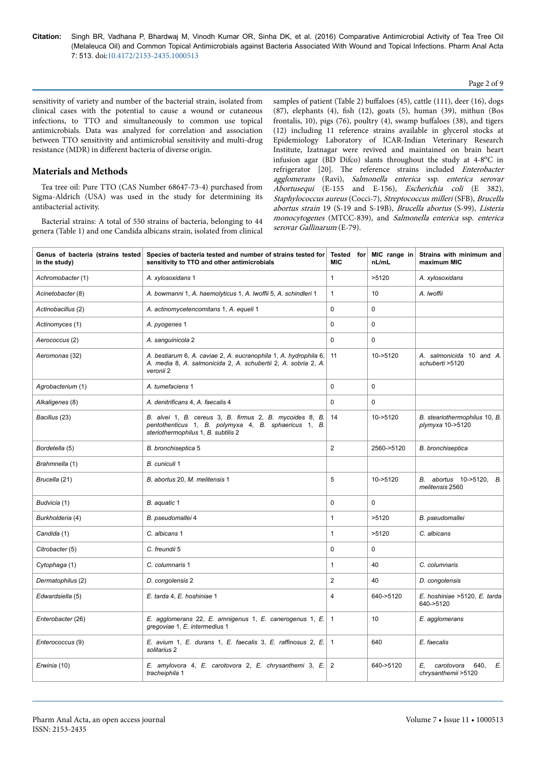#### Page 2 of 9

sensitivity of variety and number of the bacterial strain, isolated from clinical cases with the potential to cause a wound or cutaneous infections, to TTO and simultaneously to common use topical antimicrobials. Data was analyzed for correlation and association between TTO sensitivity and antimicrobial sensitivity and multi-drug resistance (MDR) in different bacteria of diverse origin.

## **Materials and Methods**

Tea tree oil: Pure TTO (CAS Number 68647-73-4) purchased from Sigma-Aldrich (USA) was used in the study for determining its antibacterial activity.

Bacterial strains: A total of 550 strains of bacteria, belonging to 44 genera (Table 1) and one Candida albicans strain, isolated from clinical samples of patient (Table 2) buffaloes (45), cattle (111), deer (16), dogs (87), elephants (4), fish (12), goats (5), human (39), mithun (Bos frontalis, 10), pigs  $(76)$ , poultry  $(4)$ , swamp buffaloes  $(38)$ , and tigers (12) including 11 reference strains available in glycerol stocks at Epidemiology Laboratory of ICAR-Indian Veterinary Research Institute, Izatnagar were revived and maintained on brain heart infusion agar (BD Difco) slants throughout the study at 4-8°C in refrigerator [20]. Нe reference strains included Enterobacter agglomerans (Ravi), Salmonella enterica ssp. enterica serovar Abortusequi (E-155 and E-156), Escherichia coli (E 382), Staphylococcus aureus (Cocci-7), Streptococcus milleri (SFB), Brucella abortus strain 19 (S-19 and S-19B), Brucella abortus (S-99), Listeria monocytogenes (MTCC-839), and Salmonella enterica ssp. enterica serovar Gallinarum (E-79).

| Genus of bacteria (strains tested<br>in the study) | Species of bacteria tested and number of strains tested for<br>sensitivity to TTO and other antimicrobials                                             | <b>Tested</b> for<br><b>MIC</b> | MIC range in<br>nL/mL | Strains with minimum and<br>maximum MIC               |  |
|----------------------------------------------------|--------------------------------------------------------------------------------------------------------------------------------------------------------|---------------------------------|-----------------------|-------------------------------------------------------|--|
| Achromobacter (1)                                  | A. xylosoxidans 1                                                                                                                                      | $\mathbf{1}$                    | >5120                 | A. xylosoxidans                                       |  |
| Acinetobacter (8)                                  | A. bowmanni 1, A. haemolyticus 1, A. Iwoffii 5, A. schindleri 1                                                                                        | $\mathbf{1}$                    | 10                    | A. Iwoffii                                            |  |
| Actinobacillus (2)                                 | A. actinomycetencomitans 1, A. equeli 1                                                                                                                | 0                               | 0                     |                                                       |  |
| Actinomyces (1)                                    | A. pyogenes 1                                                                                                                                          | $\Omega$                        | 0                     |                                                       |  |
| Aerococcus (2)                                     | A. sanguinicola 2                                                                                                                                      | 0                               | 0                     |                                                       |  |
| Aeromonas (32)                                     | A. bestiarum 6, A. caviae 2, A. eucranophila 1, A. hydrophila 6,<br>A. media 8, A. salmonicida 2, A. schubertii 2, A. sobria 2, A.<br>veronii 2        | 11                              | 10->5120              | A. salmonicida 10 and A.<br>schuberti > 5120          |  |
| Agrobacterium (1)                                  | A. tumefaciens 1                                                                                                                                       | 0                               | $\mathbf 0$           |                                                       |  |
| Alkaligenes (8)                                    | A. denitrificans 4, A. faecalis 4                                                                                                                      | 0                               | 0                     |                                                       |  |
| Bacillus (23)                                      | B. alvei 1, B. cereus 3, B. firmus 2, B. mycoides 8, B.<br>pentothenticus 1, B. polymyxa 4, B. sphaericus 1, B.<br>steriothermophilus 1, B. subtilis 2 | 14                              | 10->5120              | B. steariothermophilus 10, B.<br>plymyxa 10->5120     |  |
| Bordetella (5)                                     | B. bronchiseptica 5                                                                                                                                    | 2                               | 2560->5120            | B. bronchiseptica                                     |  |
| Brahmnella (1)                                     | B. cuniculi 1                                                                                                                                          |                                 |                       |                                                       |  |
| Brucella (21)                                      | B. abortus 20, M. melitensis 1                                                                                                                         | 5                               | 10->5120              | B. abortus 10->5120, B.<br>melitensis 2560            |  |
| Budvicia (1)                                       | B. aquatic 1                                                                                                                                           | $\Omega$                        | 0                     |                                                       |  |
| Burkholderia (4)                                   | B. pseudomallei 4                                                                                                                                      | $\mathbf{1}$                    | >5120                 | B. pseudomallei                                       |  |
| Candida (1)                                        | C. albicans 1                                                                                                                                          | $\mathbf{1}$                    | >5120                 | C. albicans                                           |  |
| Citrobacter (5)                                    | C. freundii 5                                                                                                                                          | $\mathbf 0$                     | 0                     |                                                       |  |
| Cytophaga (1)                                      | C. columnaris 1                                                                                                                                        | $\mathbf{1}$                    | 40                    | C. columnaris                                         |  |
| Dermatophilus (2)                                  | D. congolensis 2                                                                                                                                       | $\overline{2}$                  | 40                    | D. congolensis                                        |  |
| Edwardsiella (5)                                   | E. tarda 4, E. hoshiniae 1                                                                                                                             | 4                               | 640->5120             | E. hoshiniae >5120, E. tarda<br>640->5120             |  |
| Enterobacter (26)                                  | E. agglomerans 22, E. amnigenus 1, E. canerogenus 1, E.<br>gregoviae 1, E. intermedius 1                                                               | 1                               | 10                    | E. agglomerans                                        |  |
| Enterococcus (9)                                   | E. avium 1, E. durans 1, E. faecalis 3, E. raffinosus 2, E.<br>solitarius 2                                                                            | $\mathbf{1}$                    | 640                   | E. faecalis                                           |  |
| Erwinia (10)                                       | E. amylovora 4, E. carotovora 2, E. chrysanthemi 3, E.<br>tracheiphila 1                                                                               | $\overline{2}$                  | 640->5120             | E.<br>E.<br>carotovora<br>640.<br>chrysanthemii >5120 |  |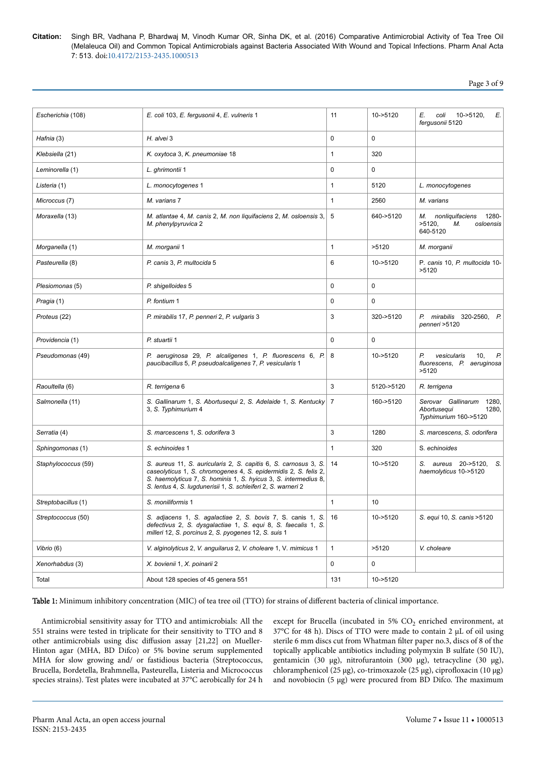Page 3 of 9

| Escherichia (108)   | E. coli 103, E. fergusonii 4, E. vulneris 1                                                                                                                                                                                                                            | 11           | 10->5120   | Е.<br>coli<br>$10 - 5120$<br>E.<br>fergusonii 5120                           |  |  |
|---------------------|------------------------------------------------------------------------------------------------------------------------------------------------------------------------------------------------------------------------------------------------------------------------|--------------|------------|------------------------------------------------------------------------------|--|--|
| Hafnia (3)          | H. alvei 3                                                                                                                                                                                                                                                             | 0            | 0          |                                                                              |  |  |
| Klebsiella (21)     | K. oxytoca 3, K. pneumoniae 18                                                                                                                                                                                                                                         | $\mathbf{1}$ | 320        |                                                                              |  |  |
| Leminorella (1)     | L. ghrimontii 1                                                                                                                                                                                                                                                        | $\Omega$     | 0          |                                                                              |  |  |
| Listeria (1)        | L. monocytogenes 1                                                                                                                                                                                                                                                     | $\mathbf{1}$ | 5120       | L. monocytogenes                                                             |  |  |
| Microccus (7)       | M. varians 7                                                                                                                                                                                                                                                           | $\mathbf{1}$ | 2560       | M. varians                                                                   |  |  |
| Moraxella (13)      | M. atlantae 4, M. canis 2, M. non liquifaciens 2, M. osloensis 3,<br>M. phenylpyruvica 2                                                                                                                                                                               | 5            | 640->5120  | nonliquifaciens<br>1280-<br>М.<br>$>5120$ ,<br>М.<br>osloensis<br>640-5120   |  |  |
| Morganella (1)      | M. morganii 1                                                                                                                                                                                                                                                          | $\mathbf{1}$ | >5120      | M. morganii                                                                  |  |  |
| Pasteurella (8)     | P. canis 3, P. multocida 5                                                                                                                                                                                                                                             | 6            | 10->5120   | P. canis 10, P. multocida 10-<br>>5120                                       |  |  |
| Plesiomonas (5)     | P. shigelloides 5                                                                                                                                                                                                                                                      | $\Omega$     | 0          |                                                                              |  |  |
| Pragia (1)          | P. fontium 1                                                                                                                                                                                                                                                           | $\Omega$     | 0          |                                                                              |  |  |
| Proteus (22)        | P. mirabilis 17, P. penneri 2, P. vulgaris 3                                                                                                                                                                                                                           | 3            | 320->5120  | P. mirabilis 320-2560, P.<br>penneri >5120                                   |  |  |
| Providencia (1)     | P. stuartii 1                                                                                                                                                                                                                                                          | $\Omega$     | 0          |                                                                              |  |  |
| Pseudomonas (49)    | P. aeruginosa 29, P. alcaligenes 1, P. fluorescens 6, P.<br>paucibacillus 5, P. pseudoalcaligenes 7, P. vesicularis 1                                                                                                                                                  | -8           | 10->5120   | Р.<br>vesicularis<br>10,<br>Р.<br>fluorescens, P. aeruginosa<br>>5120        |  |  |
| Raoultella (6)      | R. terrigena 6                                                                                                                                                                                                                                                         | 3            | 5120->5120 | R. terrigena                                                                 |  |  |
| Salmonella (11)     | S. Gallinarum 1, S. Abortusequi 2, S. Adelaide 1, S. Kentucky 7<br>3, S. Typhimurium 4                                                                                                                                                                                 |              | 160->5120  | Serovar Gallinarum<br>1280,<br>Abortusequi<br>1280,<br>Typhimurium 160->5120 |  |  |
| Serratia (4)        | S. marcescens 1, S. odorifera 3                                                                                                                                                                                                                                        | 3            | 1280       | S. marcescens, S. odorifera                                                  |  |  |
| Sphingomonas (1)    | S. echinoides 1                                                                                                                                                                                                                                                        | $\mathbf{1}$ | 320        | S. echinoides                                                                |  |  |
| Staphylococcus (59) | S. aureus 11, S. auricularis 2, S. capitis 6, S. carnosus 3, S.<br>caseolyticus 1, S. chromogenes 4, S. epidermidis 2, S. felis 2,<br>S. haemolyticus 7, S. hominis 1, S. hyicus 3, S. intermedius 8,<br>S. lentus 4, S. lugdunerisii 1, S. schleiferi 2, S. warneri 2 | 14           | 10->5120   | S. aureus 20->5120,<br>S.<br>haemolyticus 10->5120                           |  |  |
| Streptobacillus (1) | S. moniliformis 1                                                                                                                                                                                                                                                      | $\mathbf{1}$ | 10         |                                                                              |  |  |
| Streptococcus (50)  | S. adjacens 1, S. agalactiae 2, S. bovis 7, S. canis 1, S.<br>defectivus 2, S. dysgalactiae 1, S. equi 8, S. faecalis 1, S.<br>milleri 12, S. porcinus 2, S. pyogenes 12, S. suis 1                                                                                    | 16           | 10->5120   | S. equi 10, S. canis > 5120                                                  |  |  |
| Vibrio (6)          | V. alginolyticus 2, V. anguilarus 2, V. choleare 1, V. mimicus 1                                                                                                                                                                                                       | $\mathbf{1}$ | >5120      | V. choleare                                                                  |  |  |
| Xenorhabdus (3)     | X. bovienii 1, X. poinarii 2                                                                                                                                                                                                                                           | 0            | 0          |                                                                              |  |  |
| Total               | About 128 species of 45 genera 551                                                                                                                                                                                                                                     | 131          | 10->5120   |                                                                              |  |  |

Table 1: Minimum inhibitory concentration (MIC) of tea tree oil (TTO) for strains of different bacteria of clinical importance.

Antimicrobial sensitivity assay for TTO and antimicrobials: All the 551 strains were tested in triplicate for their sensitivity to TTO and 8 other antimicrobials using disc diffusion assay [21,22] on Mueller-Hinton agar (MHA, BD Difco) or 5% bovine serum supplemented MHA for slow growing and/ or fastidious bacteria (Streptococcus, Brucella, Bordetella, Brahmnella, Pasteurella, Listeria and Micrococcus species strains). Test plates were incubated at 37°C aerobically for 24 h

except for Brucella (incubated in  $5\%$  CO<sub>2</sub> enriched environment, at 37°C for 48 h). Discs of TTO were made to contain 2 µL of oil using sterile 6 mm discs cut from Whatman filter paper no.3, discs of 8 of the topically applicable antibiotics including polymyxin B sulfate (50 IU), gentamicin (30 µg), nitrofurantoin (300 µg), tetracycline (30 µg), chloramphenicol (25 µg), co-trimoxazole (25 µg), ciprofloxacin (10 µg) and novobiocin  $(5 \mu g)$  were procured from BD Difco. The maximum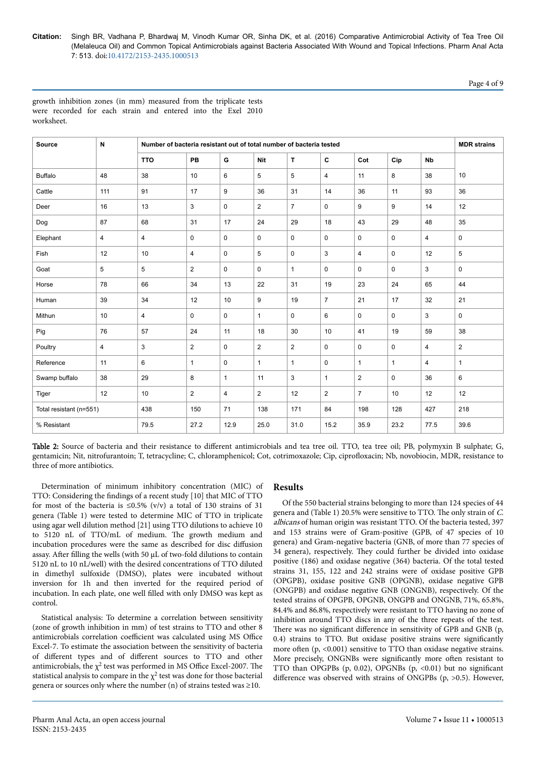Page 4 of 9

growth inhibition zones (in mm) measured from the triplicate tests were recorded for each strain and entered into the Exel 2010 worksheet.

| Source                  | N              | Number of bacteria resistant out of total number of bacteria tested |                |                         |                |                |                |                |              |                      | <b>MDR</b> strains |
|-------------------------|----------------|---------------------------------------------------------------------|----------------|-------------------------|----------------|----------------|----------------|----------------|--------------|----------------------|--------------------|
|                         |                | <b>TTO</b>                                                          | PB             | G                       | Nit            | T              | C              | Cot            | Cip          | <b>N<sub>b</sub></b> |                    |
| <b>Buffalo</b>          | 48             | 38                                                                  | 10             | 6                       | 5              | 5              | $\overline{4}$ | 11             | 8            | 38                   | 10                 |
| Cattle                  | 111            | 91                                                                  | 17             | 9                       | 36             | 31             | 14             | 36             | 11           | 93                   | 36                 |
| Deer                    | 16             | 13                                                                  | 3              | 0                       | $\overline{2}$ | $\overline{7}$ | $\mathbf 0$    | 9              | 9            | 14                   | 12                 |
| Dog                     | 87             | 68                                                                  | 31             | 17                      | 24             | 29             | 18             | 43             | 29           | 48                   | 35                 |
| Elephant                | 4              | 4                                                                   | 0              | 0                       | 0              | 0              | $\mathbf 0$    | 0              | 0            | $\overline{4}$       | 0                  |
| Fish                    | 12             | 10                                                                  | $\overline{4}$ | 0                       | 5              | $\mathbf 0$    | 3              | 4              | $\mathbf 0$  | 12                   | 5                  |
| Goat                    | 5              | 5                                                                   | $\overline{2}$ | 0                       | 0              | $\mathbf{1}$   | $\mathbf 0$    | 0              | $\mathbf 0$  | 3                    | 0                  |
| Horse                   | 78             | 66                                                                  | 34             | 13                      | 22             | 31             | 19             | 23             | 24           | 65                   | 44                 |
| Human                   | 39             | 34                                                                  | 12             | 10                      | 9              | 19             | $\overline{7}$ | 21             | 17           | 32                   | 21                 |
| Mithun                  | 10             | 4                                                                   | $\mathbf 0$    | $\mathbf 0$             | $\mathbf{1}$   | $\mathbf 0$    | 6              | 0              | $\mathbf 0$  | 3                    | 0                  |
| Pig                     | 76             | 57                                                                  | 24             | 11                      | 18             | 30             | 10             | 41             | 19           | 59                   | 38                 |
| Poultry                 | $\overline{4}$ | 3                                                                   | $\overline{2}$ | $\Omega$                | $\overline{2}$ | $\overline{2}$ | $\mathbf 0$    | 0              | $\mathbf 0$  | 4                    | $\overline{2}$     |
| Reference               | 11             | 6                                                                   | $\mathbf{1}$   | 0                       | 1              | $\mathbf{1}$   | $\mathbf 0$    | $\mathbf{1}$   | $\mathbf{1}$ | $\overline{4}$       | $\mathbf{1}$       |
| Swamp buffalo           | 38             | 29                                                                  | 8              | $\mathbf{1}$            | 11             | 3              | $\mathbf{1}$   | $\mathbf{2}$   | $\mathbf 0$  | 36                   | 6                  |
| Tiger                   | 12             | 10                                                                  | $\overline{2}$ | $\overline{\mathbf{4}}$ | $\overline{c}$ | 12             | $\overline{2}$ | $\overline{7}$ | 10           | 12                   | 12                 |
| Total resistant (n=551) |                | 438                                                                 | 150            | 71                      | 138            | 171            | 84             | 198            | 128          | 427                  | 218                |
| % Resistant             |                | 79.5                                                                | 27.2           | 12.9                    | 25.0           | 31.0           | 15.2           | 35.9           | 23.2         | 77.5                 | 39.6               |

Table 2: Source of bacteria and their resistance to different antimicrobials and tea tree oil. TTO, tea tree oil; PB, polymyxin B sulphate; G, gentamicin; Nit, nitrofurantoin; T, tetracycline; C, chloramphenicol; Cot, cotrimoxazole; Cip, ciprofloxacin; Nb, novobiocin, MDR, resistance to three of more antibiotics.

Determination of minimum inhibitory concentration (MIC) of TTO: Considering the findings of a recent study [10] that MIC of TTO for most of the bacteria is  $\leq 0.5\%$  (v/v) a total of 130 strains of 31 genera (Table 1) were tested to determine MIC of TTO in triplicate using agar well dilution method [21] using TTO dilutions to achieve 10 to 5120 nL of TTO/mL of medium. Нe growth medium and incubation procedures were the same as described for disc diffusion assay. After filling the wells (with 50  $\mu$ L of two-fold dilutions to contain 5120 nL to 10 nL/well) with the desired concentrations of TTO diluted in dimethyl sulfoxide (DMSO), plates were incubated without inversion for 1h and then inverted for the required period of incubation. In each plate, one well filled with only DMSO was kept as control.

Statistical analysis: To determine a correlation between sensitivity (zone of growth inhibition in mm) of test strains to TTO and other 8 antimicrobials correlation coefficient was calculated using MS Office Excel-7. To estimate the association between the sensitivity of bacteria of different types and of different sources to TTO and other antimicrobials, the  $\chi^2$  test was performed in MS Office Excel-2007. The statistical analysis to compare in the  $\chi^2$  test was done for those bacterial genera or sources only where the number (n) of strains tested was  $\geq$ 10.

# **Results**

Of the 550 bacterial strains belonging to more than 124 species of 44 genera and (Table 1) 20.5% were sensitive to TTO. Нe only strain of C. albicans of human origin was resistant TTO. Of the bacteria tested, 397 and 153 strains were of Gram-positive (GPB, of 47 species of 10 genera) and Gram-negative bacteria (GNB, of more than 77 species of 34 genera), respectively. Нey could further be divided into oxidase positive (186) and oxidase negative (364) bacteria. Of the total tested strains 31, 155, 122 and 242 strains were of oxidase positive GPB (OPGPB), oxidase positive GNB (OPGNB), oxidase negative GPB (ONGPB) and oxidase negative GNB (ONGNB), respectively. Of the tested strains of OPGPB, OPGNB, ONGPB and ONGNB, 71%, 65.8%, 84.4% and 86.8%, respectively were resistant to TTO having no zone of inhibition around TTO discs in any of the three repeats of the test. There was no significant difference in sensitivity of GPB and GNB (p,  $0.4)$  strains to TTO. But oxidase positive strains were significantly more often  $(p, \langle 0.001 \rangle)$  sensitive to TTO than oxidase negative strains. More precisely, ONGNBs were significantly more often resistant to TTO than OPGPBs (p, 0.02), OPGNBs (p, <0.01) but no significant difference was observed with strains of ONGPBs (p,  $>0.5$ ). However,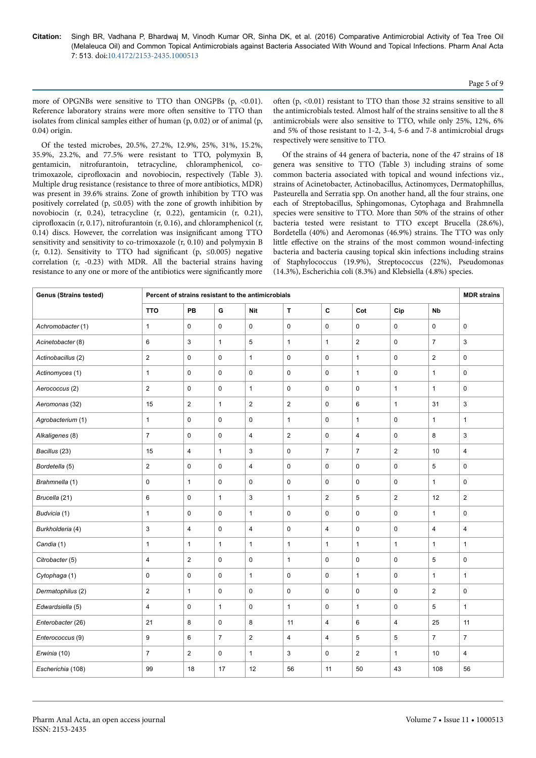more of OPGNBs were sensitive to TTO than ONGPBs (p, <0.01). Reference laboratory strains were more often sensitive to TTO than isolates from clinical samples either of human (p, 0.02) or of animal (p, 0.04) origin.

Of the tested microbes, 20.5%, 27.2%, 12.9%, 25%, 31%, 15.2%, 35.9%, 23.2%, and 77.5% were resistant to TTO, polymyxin B, gentamicin, nitrofurantoin, tetracycline, chloramphenicol, cotrimoxazole, ciprofloxacin and novobiocin, respectively (Table 3). Multiple drug resistance (resistance to three of more antibiotics, MDR) was present in 39.6% strains. Zone of growth inhibition by TTO was positively correlated (p,  $\leq 0.05$ ) with the zone of growth inhibition by novobiocin (r, 0.24), tetracycline (r, 0.22), gentamicin (r, 0.21), ciprofloxacin (r, 0.17), nitrofurantoin (r, 0.16), and chloramphenicol (r, 0.14) discs. However, the correlation was insignificant among TTO sensitivity and sensitivity to co-trimoxazole (r, 0.10) and polymyxin B (r, 0.12). Sensitivity to TTO had significant (p,  $\leq 0.005$ ) negative correlation (r, -0.23) with MDR. All the bacterial strains having resistance to any one or more of the antibiotics were significantly more

often  $(p, <0.01)$  resistant to TTO than those 32 strains sensitive to all the antimicrobials tested. Almost half of the strains sensitive to all the 8 antimicrobials were also sensitive to TTO, while only 25%, 12%, 6% and 5% of those resistant to 1-2, 3-4, 5-6 and 7-8 antimicrobial drugs respectively were sensitive to TTO.

Of the strains of 44 genera of bacteria, none of the 47 strains of 18 genera was sensitive to TTO (Table 3) including strains of some common bacteria associated with topical and wound infections viz., strains of Acinetobacter, Actinobacillus, Actinomyces, Dermatophillus, Pasteurella and Serratia spp. On another hand, all the four strains, one each of Streptobacillus, Sphingomonas, Cytophaga and Brahmnella species were sensitive to TTO. More than 50% of the strains of other bacteria tested were resistant to TTO except Brucella (28.6%), Bordetella (40%) and Aeromonas (46.9%) strains. Нe TTO was only little effective on the strains of the most common wound-infecting bacteria and bacteria causing topical skin infections including strains of Staphylococcus (19.9%), Streptococcus (22%), Pseudomonas (14.3%), Escherichia coli (8.3%) and Klebsiella (4.8%) species.

| <b>Genus (Strains tested)</b> | Percent of strains resistant to the antimicrobials |                |                |                |                |                |                |                | <b>MDR</b> strains |                |
|-------------------------------|----------------------------------------------------|----------------|----------------|----------------|----------------|----------------|----------------|----------------|--------------------|----------------|
|                               | <b>TTO</b>                                         | <b>PB</b>      | G              | <b>Nit</b>     | $\mathbf{T}$   | $\mathbf c$    | Cot            | Cip            | <b>Nb</b>          |                |
| Achromobacter (1)             | $\mathbf{1}$                                       | 0              | 0              | $\pmb{0}$      | $\mathsf 0$    | $\mathsf{O}$   | $\mathbf 0$    | $\pmb{0}$      | 0                  | 0              |
| Acinetobacter (8)             | $\,6$                                              | 3              | $\mathbf{1}$   | $\,$ 5 $\,$    | $\mathbf{1}$   | $\mathbf{1}$   | $\overline{c}$ | 0              | $\overline{7}$     | 3              |
| Actinobacillus (2)            | $\boldsymbol{2}$                                   | 0              | 0              | $\mathbf{1}$   | $\mathbf 0$    | $\mathbf 0$    | $\mathbf{1}$   | 0              | $\overline{2}$     | 0              |
| Actinomyces (1)               | $\mathbf{1}$                                       | 0              | 0              | $\pmb{0}$      | $\mathbf 0$    | 0              | $\mathbf{1}$   | $\pmb{0}$      | $\mathbf{1}$       | 0              |
| Aerococcus (2)                | $\boldsymbol{2}$                                   | 0              | 0              | $\mathbf{1}$   | $\mathbf 0$    | 0              | 0              | $\mathbf{1}$   | $\mathbf{1}$       | 0              |
| Aeromonas (32)                | 15                                                 | $\overline{c}$ | $\mathbf{1}$   | $\sqrt{2}$     | $\overline{2}$ | $\mathbf 0$    | 6              | $\mathbf{1}$   | 31                 | 3              |
| Agrobacterium (1)             | $\mathbf{1}$                                       | 0              | $\mathbf 0$    | $\pmb{0}$      | $\mathbf{1}$   | 0              | $\mathbf{1}$   | $\mathbf 0$    | $\mathbf{1}$       | $\mathbf{1}$   |
| Alkaligenes (8)               | $\overline{7}$                                     | 0              | 0              | $\overline{4}$ | $\overline{2}$ | 0              | $\overline{4}$ | 0              | 8                  | 3              |
| Bacillus (23)                 | 15                                                 | 4              | $\mathbf{1}$   | 3              | $\pmb{0}$      | $\overline{7}$ | $\overline{7}$ | $\overline{2}$ | 10                 | 4              |
| Bordetella (5)                | $\sqrt{2}$                                         | 0              | $\mathbf 0$    | $\overline{4}$ | $\mathbf 0$    | $\mathbf 0$    | $\mathbf 0$    | $\mathbf 0$    | 5                  | $\mathbf 0$    |
| Brahmnella (1)                | $\pmb{0}$                                          | $\mathbf{1}$   | 0              | $\mathbf 0$    | $\mathbf 0$    | $\mathbf 0$    | 0              | 0              | $\mathbf{1}$       | 0              |
| Brucella (21)                 | 6                                                  | 0              | $\mathbf{1}$   | 3              | $\mathbf{1}$   | $\overline{2}$ | 5              | $\overline{2}$ | 12                 | $\overline{2}$ |
| Budvicia (1)                  | $\mathbf{1}$                                       | 0              | 0              | $\mathbf{1}$   | $\mathbf 0$    | $\mathbf 0$    | $\mathbf 0$    | $\mathbf 0$    | $\mathbf{1}$       | $\mathbf 0$    |
| Burkholderia (4)              | $\mathbf{3}$                                       | $\overline{4}$ | $\mathbf 0$    | $\overline{4}$ | $\mathbf 0$    | $\overline{4}$ | $\mathbf 0$    | $\mathbf 0$    | $\overline{4}$     | $\overline{4}$ |
| Candia (1)                    | $\mathbf{1}$                                       | $\mathbf{1}$   | $\mathbf{1}$   | $\mathbf{1}$   | $\mathbf{1}$   | $\mathbf{1}$   | $\mathbf{1}$   | $\mathbf{1}$   | $\mathbf{1}$       | $\mathbf{1}$   |
| Citrobacter (5)               | $\overline{4}$                                     | $\overline{2}$ | $\mathsf 0$    | $\mathbf 0$    | $\mathbf{1}$   | $\mathbf 0$    | $\mathbf 0$    | $\mathbf 0$    | 5                  | 0              |
| Cytophaga (1)                 | $\mathbf 0$                                        | 0              | 0              | $\mathbf{1}$   | $\mathbf 0$    | $\mathsf 0$    | $\mathbf{1}$   | $\pmb{0}$      | $\mathbf{1}$       | $\mathbf{1}$   |
| Dermatophilus (2)             | $\overline{2}$                                     | $\mathbf{1}$   | $\mathsf 0$    | $\pmb{0}$      | $\mathsf 0$    | $\mathbf 0$    | $\pmb{0}$      | $\pmb{0}$      | $\overline{2}$     | 0              |
| Edwardsiella (5)              | 4                                                  | 0              | $\mathbf{1}$   | $\pmb{0}$      | $\mathbf{1}$   | $\mathsf 0$    | $\mathbf{1}$   | 0              | 5                  | $\mathbf{1}$   |
| Enterobacter (26)             | 21                                                 | 8              | 0              | 8              | 11             | $\overline{4}$ | 6              | $\overline{4}$ | 25                 | 11             |
| Enterococcus (9)              | 9                                                  | 6              | $\overline{7}$ | $\overline{2}$ | $\overline{4}$ | $\overline{4}$ | 5              | 5              | $\overline{7}$     | $\overline{7}$ |
| Erwinia (10)                  | $\overline{7}$                                     | $\overline{2}$ | 0              | $\mathbf{1}$   | 3              | 0              | $\overline{2}$ | $\mathbf{1}$   | 10                 | 4              |
| Escherichia (108)             | 99                                                 | 18             | 17             | 12             | 56             | 11             | 50             | 43             | 108                | 56             |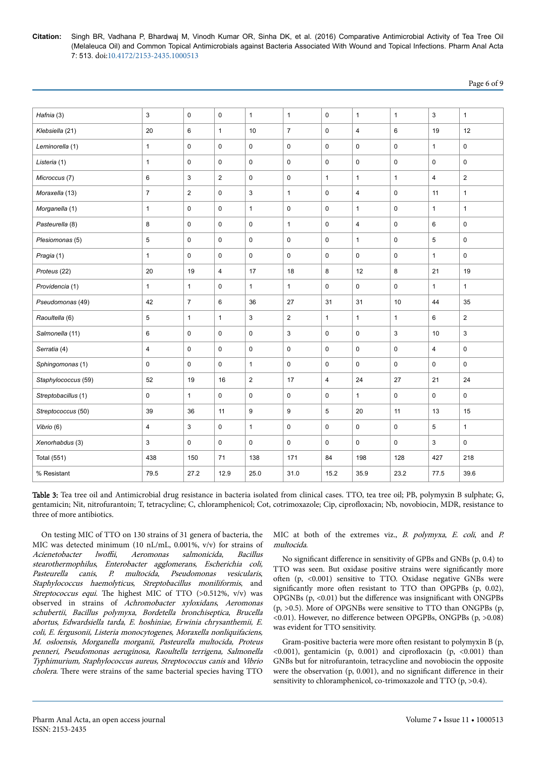| Page 6 of 9 |  |  |
|-------------|--|--|
|             |  |  |

| Hafnia (3)          | 3              | $\mathbf 0$    | $\mathbf 0$    | $\mathbf{1}$    | $\mathbf{1}$   | $\mathbf 0$    | $\mathbf{1}$   | $\mathbf{1}$ | 3              | $\mathbf{1}$   |
|---------------------|----------------|----------------|----------------|-----------------|----------------|----------------|----------------|--------------|----------------|----------------|
| Klebsiella (21)     | 20             | 6              | $\mathbf{1}$   | 10 <sup>1</sup> | $\overline{7}$ | $\mathbf 0$    | $\overline{4}$ | 6            | 19             | 12             |
| Leminorella (1)     | $\mathbf{1}$   | $\mathbf 0$    | $\mathbf 0$    | $\mathbf 0$     | $\mathbf 0$    | $\mathbf 0$    | $\mathbf 0$    | $\mathbf 0$  | $\mathbf{1}$   | $\mathbf 0$    |
| Listeria (1)        | $\mathbf{1}$   | $\mathbf 0$    | $\mathbf 0$    | $\mathbf 0$     | $\mathbf 0$    | $\mathbf{0}$   | $\mathbf 0$    | $\mathbf 0$  | $\mathbf 0$    | $\mathbf 0$    |
| Microccus (7)       | 6              | 3              | $\overline{2}$ | $\mathbf 0$     | $\mathbf 0$    | $\mathbf{1}$   | $\mathbf{1}$   | $\mathbf{1}$ | $\overline{4}$ | $\overline{2}$ |
| Moraxella (13)      | $\overline{7}$ | 2              | 0              | 3               | $\mathbf{1}$   | $\mathbf 0$    | $\overline{4}$ | $\mathbf 0$  | 11             | $\mathbf{1}$   |
| Morganella (1)      | $\mathbf{1}$   | $\mathbf 0$    | $\mathbf 0$    | $\mathbf{1}$    | $\mathbf 0$    | $\mathbf 0$    | $\mathbf{1}$   | $\mathbf 0$  | $\mathbf{1}$   | $\mathbf{1}$   |
| Pasteurella (8)     | 8              | $\mathbf 0$    | $\mathbf 0$    | $\mathbf 0$     | $\mathbf{1}$   | $\mathbf 0$    | $\overline{4}$ | $\mathbf 0$  | 6              | 0              |
| Plesiomonas (5)     | $\overline{5}$ | $\mathbf 0$    | $\mathbf 0$    | $\mathbf 0$     | $\mathbf 0$    | $\mathbf 0$    | $\mathbf{1}$   | $\mathbf 0$  | 5              | $\pmb{0}$      |
| Pragia (1)          | $\mathbf{1}$   | 0              | 0              | $\mathsf 0$     | 0              | $\mathsf 0$    | 0              | $\mathsf 0$  | $\mathbf{1}$   | 0              |
| Proteus (22)        | 20             | 19             | $\overline{4}$ | 17              | 18             | 8              | 12             | 8            | 21             | 19             |
| Providencia (1)     | $\mathbf{1}$   | $\mathbf{1}$   | 0              | $\mathbf{1}$    | 1              | $\mathsf 0$    | $\pmb{0}$      | $\mathsf 0$  | $\mathbf{1}$   | $\mathbf{1}$   |
| Pseudomonas (49)    | 42             | $\overline{7}$ | 6              | 36              | 27             | 31             | 31             | 10           | 44             | 35             |
| Raoultella (6)      | 5              | $\mathbf{1}$   | $\mathbf{1}$   | $\mathbf{3}$    | $\overline{2}$ | $\mathbf{1}$   | $\mathbf{1}$   | $\mathbf{1}$ | 6              | $\overline{2}$ |
| Salmonella (11)     | 6              | $\mathbf 0$    | $\mathbf 0$    | $\mathbf 0$     | 3              | $\mathbf 0$    | $\mathbf 0$    | 3            | 10             | 3              |
| Serratia (4)        | $\overline{4}$ | $\mathsf 0$    | 0              | $\mathsf 0$     | 0              | $\mathsf 0$    | $\mathbf 0$    | $\mathsf 0$  | $\overline{4}$ | 0              |
| Sphingomonas (1)    | $\mathbf 0$    | $\mathbf 0$    | $\mathbf 0$    | $\mathbf{1}$    | $\mathbf 0$    | $\mathbf 0$    | $\mathbf 0$    | $\mathbf 0$  | $\mathbf 0$    | $\mathbf 0$    |
| Staphylococcus (59) | 52             | 19             | 16             | $\overline{2}$  | 17             | $\overline{4}$ | 24             | 27           | 21             | 24             |
| Streptobacillus (1) | $\mathbf 0$    | $\mathbf{1}$   | 0              | $\mathbf 0$     | $\mathbf 0$    | $\mathbf 0$    | $\mathbf{1}$   | $\mathbf 0$  | $\mathbf 0$    | $\mathbf 0$    |
| Streptococcus (50)  | 39             | 36             | 11             | 9               | 9              | 5              | 20             | 11           | 13             | 15             |
| Vibrio (6)          | $\overline{4}$ | 3              | $\mathsf 0$    | $\mathbf{1}$    | $\mathbf 0$    | $\mathbf 0$    | $\mathbf 0$    | $\mathbf 0$  | 5              | $\mathbf{1}$   |
| Xenorhabdus (3)     | 3              | $\mathsf 0$    | 0              | $\mathsf 0$     | $\mathsf 0$    | $\mathsf 0$    | 0              | $\mathsf 0$  | 3              | $\mathsf 0$    |
| Total (551)         | 438            | 150            | 71             | 138             | 171            | 84             | 198            | 128          | 427            | 218            |
| % Resistant         | 79.5           | 27.2           | 12.9           | 25.0            | 31.0           | 15.2           | 35.9           | 23.2         | 77.5           | 39.6           |
|                     |                |                |                |                 |                |                |                |              |                |                |

Table 3: Tea tree oil and Antimicrobial drug resistance in bacteria isolated from clinical cases. TTO, tea tree oil; PB, polymyxin B sulphate; G, gentamicin; Nit, nitrofurantoin; T, tetracycline; C, chloramphenicol; Cot, cotrimoxazole; Cip, ciprofloxacin; Nb, novobiocin, MDR, resistance to three of more antibiotics.

On testing MIC of TTO on 130 strains of 31 genera of bacteria, the MIC was detected minimum (10 nL/mL, 0.001%, v/v) for strains of Acienetobacter lwoffii, Aeromonas salmonicida, Bacillus stearothermophilus, Enterobacter agglomerans, Escherichia coli, Pasteurella canis, P. multocida, Pseudomonas vesicularis, Staphylococcus haemolyticus, Streptobacillus moniliformis, and Streptococcus equi. The highest MIC of TTO (>0.512%, v/v) was observed in strains of Achromobacter xyloxidans, Aeromonas schubertii, Bacillus polymyxa, Bordetella bronchiseptica, Brucella abortus, Edwardsiella tarda, E. hoshiniae, Erwinia chrysanthemii, E. coli, E. fergusonii, Listeria monocytogenes, Moraxella nonliquifaciens, M. osloensis, Morganella morganii, Pasteurella multocida, Proteus penneri, Pseudomonas aeruginosa, Raoultella terrigena, Salmonella Typhimurium, Staphylococcus aureus, Streptococcus canis and Vibrio cholera. Нere were strains of the same bacterial species having TTO

MIC at both of the extremes viz., B. polymyxa, E. coli, and P. multocida.

No significant difference in sensitivity of GPBs and GNBs (p, 0.4) to TTO was seen. But oxidase positive strains were significantly more often  $(p, \langle 0.001 \rangle)$  sensitive to TTO. Oxidase negative GNBs were significantly more often resistant to TTO than OPGPBs (p, 0.02), OPGNBs  $(p, \langle 0.01 \rangle)$  but the difference was insignificant with ONGPBs (p, >0.5). More of OPGNBs were sensitive to TTO than ONGPBs (p, <0.01). However, no difference between OPGPBs, ONGPBs (p, >0.08) was evident for TTO sensitivity.

Gram-positive bacteria were more often resistant to polymyxin  $B(p, q)$  $\langle 0.001 \rangle$ , gentamicin (p, 0.001) and ciprofloxacin (p,  $\langle 0.001 \rangle$  than GNBs but for nitrofurantoin, tetracycline and novobiocin the opposite were the observation  $(p, 0.001)$ , and no significant difference in their sensitivity to chloramphenicol, co-trimoxazole and TTO (p, >0.4).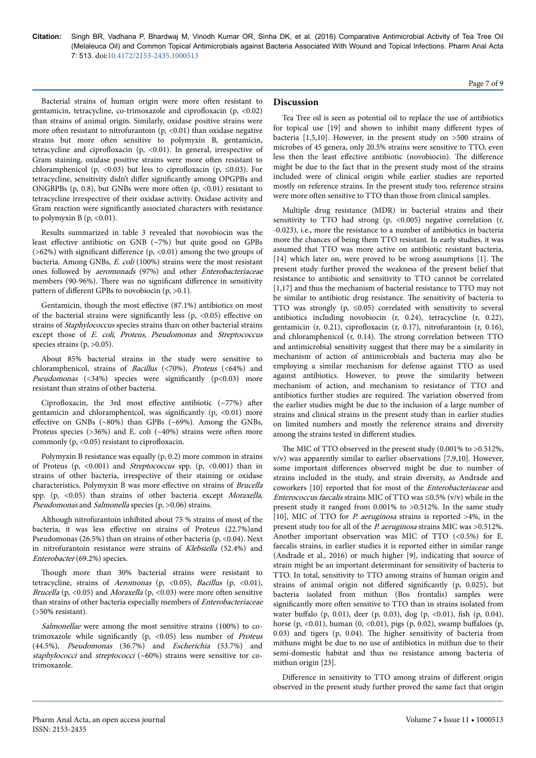Bacterial strains of human origin were more often resistant to gentamicin, tetracycline, co-trimoxazole and ciprofloxacin (p, <0.02) than strains of animal origin. Similarly, oxidase positive strains were more often resistant to nitrofurantoin  $(p, < 0.01)$  than oxidase negative strains but more often sensitive to polymyxin B, gentamicin, tetracycline and ciprofloxacin (p, <0.01). In general, irrespective of Gram staining, oxidase positive strains were more often resistant to chloramphenicol (p, <0.03) but less to ciprofloxacin (p,  $\leq 0.03$ ). For tetracycline, sensitivity didn't differ significantly among OPGPBs and ONGBPBs (p, 0.8), but GNBs were more often  $(p, <0.01)$  resistant to tetracycline irrespective of their oxidase activity. Oxidase activity and Gram reaction were significantly associated characters with resistance to polymyxin B  $(p, <0.01)$ .

Results summarized in table 3 revealed that novobiocin was the least effective antibiotic on GNB  $(\sim 7%)$  but quite good on GPBs ( $>62\%$ ) with significant difference (p, <0.01) among the two groups of bacteria. Among GNBs, E. coli (100%) strains were the most resistant ones followed by aeromonads (97%) and other Enterobacteriaceae members (90-96%). There was no significant difference in sensitivity pattern of different GPBs to novobiocin  $(p, >0.1)$ .

Gentamicin, though the most effective  $(87.1\%)$  antibiotics on most of the bacterial strains were significantly less  $(p, <0.05)$  effective on strains of Staphylococcus species strains than on other bacterial strains except those of E. coli, Proteus, Pseudomonas and Streptococcus species strains  $(p, >0.05)$ .

About 85% bacterial strains in the study were sensitive to chloramphenicol, strains of Bacillus (<70%), Proteus (<64%) and Pseudomonas  $(\langle 34\% \rangle)$  species were significantly  $(p<0.03)$  more resistant than strains of other bacteria.

Ciprofloxacin, the 3rd most effective antibiotic  $(\sim 77\%)$  after gentamicin and chloramphenicol, was significantly  $(p, \langle 0.01 \rangle)$  more effective on GNBs ( $\sim 80\%$ ) than GPBs ( $\sim 69\%$ ). Among the GNBs, Proteus species ( $>36\%$ ) and E. coli ( $\sim40\%$ ) strains were often more commonly (p, <0.05) resistant to ciprofloxacin.

Polymyxin B resistance was equally (p, 0.2) more common in strains of Proteus (p, <0.001) and Streptococcus spp. (p, <0.001) than in strains of other bacteria, irrespective of their staining or oxidase characteristics. Polymyxin B was more effective on strains of Brucella spp. (p, <0.05) than strains of other bacteria except Moraxella, Pseudomonas and Salmonella species (p, >0.06) strains.

Although nitrofurantoin inhibited about 75 % strains of most of the bacteria, it was less effective on strains of Proteus (22.7%)and Pseudomonas (26.5%) than on strains of other bacteria (p, <0.04). Next in nitrofurantoin resistance were strains of Klebsiella (52.4%) and Enterobacter (69.2%) species.

Though more than 30% bacterial strains were resistant to tetracycline, strains of Aeromonas (p, <0.05), Bacillus (p, <0.01), Brucella (p, <0.05) and *Moraxella* (p, <0.03) were more often sensitive than strains of other bacteria especially members of Enterobacteriaceae (>50% resistant).

Salmonellae were among the most sensitive strains (100%) to cotrimoxazole while significantly (p,  $\langle 0.05 \rangle$  less number of *Proteus* (44.5%), Pseudomonas (36.7%) and Escherichia (53.7%) and staphylococci and streptococci (~60%) strains were sensitive tor cotrimoxazole.

#### **Discussion**

Tea Tree oil is seen as potential oil to replace the use of antibiotics for topical use [19] and shown to inhibit many different types of bacteria [1,5,10]. However, in the present study on >500 strains of microbes of 45 genera, only 20.5% strains were sensitive to TTO, even less then the least effective antibiotic (novobiocin). The difference might be due to the fact that in the present study most of the strains included were of clinical origin while earlier studies are reported mostly on reference strains. In the present study too, reference strains were more often sensitive to TTO than those from clinical samples.

Multiple drug resistance (MDR) in bacterial strains and their sensitivity to TTO had strong  $(p, <0.005)$  negative correlation  $(r,$ -0.023), i.e., more the resistance to a number of antibiotics in bacteria more the chances of being them TTO resistant. In early studies, it was assumed that TTO was more active on antibiotic resistant bacteria, [14] which later on, were proved to be wrong assumptions [1]. Нe present study further proved the weakness of the present belief that resistance to antibiotic and sensitivity to TTO cannot be correlated [1,17] and thus the mechanism of bacterial resistance to TTO may not be similar to antibiotic drug resistance. Нe sensitivity of bacteria to TTO was strongly (p,  $\leq 0.05$ ) correlated with sensitivity to several antibiotics including novobiocin (r, 0.24), tetracycline (r, 0.22), gentamicin (r, 0.21), ciprofloxacin (r, 0.17), nitrofurantoin (r, 0.16), and chloramphenicol (r, 0.14). Нe strong correlation between TTO and antimicrobial sensitivity suggest that there may be a similarity in mechanism of action of antimicrobials and bacteria may also be employing a similar mechanism for defense against TTO as used against antibiotics. However, to prove the similarity between mechanism of action, and mechanism to resistance of TTO and antibiotics further studies are required. Нe variation observed from the earlier studies might be due to the inclusion of a large number of strains and clinical strains in the present study than in earlier studies on limited numbers and mostly the reference strains and diversity among the strains tested in different studies.

The MIC of TTO observed in the present study (0.001% to >0.512%, v/v) was apparently similar to earlier observations [7,9,10]. However, some important differences observed might be due to number of strains included in the study, and strain diversity, as Andrade and coworkers [10] reported that for most of the Enterobacteriaceae and Enterococcus faecalis strains MIC of TTO was  $\leq$ 0.5% (v/v) while in the present study it ranged from 0.001% to >0.512%. In the same study [10], MIC of TTO for *P. aeruginosa* strains is reported >4%, in the present study too for all of the P. aeruginosa strains MIC was >0.512%. Another important observation was MIC of TTO (<0.5%) for E. faecalis strains, in earlier studies it is reported either in similar range (Andrade et al., 2016) or much higher [9], indicating that source of strain might be an important determinant for sensitivity of bacteria to TTO. In total, sensitivity to TTO among strains of human origin and strains of animal origin not differed significantly (p, 0.025), but bacteria isolated from mithun (Bos frontalis) samples were significantly more often sensitive to TTO than in strains isolated from water buffalo (p, 0.01), deer (p, 0.03), dog (p, <0.01), fish (p, 0.04), horse (p,  $<0.01$ ), human (0,  $<0.01$ ), pigs (p, 0.02), swamp buffaloes (p, 0.03) and tigers (p, 0.04). Нe higher sensitivity of bacteria from mithuns might be due to no use of antibiotics in mithun due to their semi-domestic habitat and thus no resistance among bacteria of mithun origin [23].

Difference in sensitivity to TTO among strains of different origin observed in the present study further proved the same fact that origin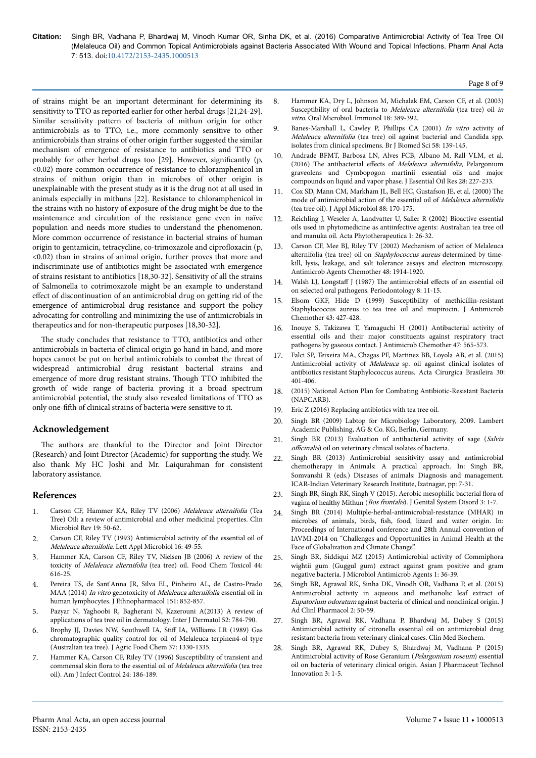of strains might be an important determinant for determining its sensitivity to TTO as reported earlier for other herbal drugs [21,24-29]. Similar sensitivity pattern of bacteria of mithun origin for other antimicrobials as to TTO, i.e., more commonly sensitive to other antimicrobials than strains of other origin further suggested the similar mechanism of emergence of resistance to antibiotics and TTO or probably for other herbal drugs too  $[29]$ . However, significantly  $(p,$ <0.02) more common occurrence of resistance to chloramphenicol in strains of mithun origin than in microbes of other origin is unexplainable with the present study as it is the drug not at all used in animals especially in mithuns [22]. Resistance to chloramphenicol in the strains with no history of exposure of the drug might be due to the maintenance and circulation of the resistance gene even in naïve population and needs more studies to understand the phenomenon. More common occurrence of resistance in bacterial strains of human origin to gentamicin, tetracycline, co-trimoxazole and ciprofloxacin (p, <0.02) than in strains of animal origin, further proves that more and indiscriminate use of antibiotics might be associated with emergence of strains resistant to antibiotics [18,30-32]. Sensitivity of all the strains of Salmonella to cotrimoxazole might be an example to understand effect of discontinuation of an antimicrobial drug on getting rid of the emergence of antimicrobial drug resistance and support the policy advocating for controlling and minimizing the use of antimicrobials in therapeutics and for non-therapeutic purposes [18,30-32].

The study concludes that resistance to TTO, antibiotics and other antimicrobials in bacteria of clinical origin go hand in hand, and more hopes cannot be put on herbal antimicrobials to combat the threat of widespread antimicrobial drug resistant bacterial strains and emergence of more drug resistant strains. Нough TTO inhibited the growth of wide range of bacteria proving it a broad spectrum antimicrobial potential, the study also revealed limitations of TTO as only one-fifth of clinical strains of bacteria were sensitive to it.

### **Acknowledgement**

The authors are thankful to the Director and Joint Director (Research) and Joint Director (Academic) for supporting the study. We also thank My HC Joshi and Mr. Laiqurahman for consistent laboratory assistance.

### **References**

- 1. [Carson CF, Hammer KA, Riley TV \(2006\)](https://doi.org/10.1128/cmr.19.1.50-62.2006) Melaleuca alternifolia (Tea [Tree\) Oil: a review of antimicrobial and other medicinal properties. Clin](https://doi.org/10.1128/cmr.19.1.50-62.2006) [Microbiol Rev 19: 50-62.](https://doi.org/10.1128/cmr.19.1.50-62.2006)
- 2. [Carson CF, Riley TV \(1993\) Antimicrobial activity of the essential oil of](https://doi.org/10.1016/s0965-2299(97)80049-0) Melaleuca alternifolia[. Lett Appl Microbiol 16: 49-55.](https://doi.org/10.1016/s0965-2299(97)80049-0)
- 3. [Hammer KA, Carson CF, Riley TV, Nielsen JB \(2006\) A review of the](https://doi.org/10.1016/j.fct.2005.09.001) toxicity of Melaleuca alternifolia [\(tea tree\) oil. Food Chem Toxicol 44:](https://doi.org/10.1016/j.fct.2005.09.001) [616-25.](https://doi.org/10.1016/j.fct.2005.09.001)
- 4. [Pereira TS, de Sant'Anna JR, Silva EL, Pinheiro AL, de Castro-Prado](https://doi.org/10.1016/j.jep.2013.11.045) MAA (2014) In vitro genotoxicity of [Melaleuca alternifolia](https://doi.org/10.1016/j.jep.2013.11.045) essential oil in [human lymphocytes. J Ethnopharmacol 151: 852-857.](https://doi.org/10.1016/j.jep.2013.11.045)
- 5. [Pazyar N, Yaghoobi R, Bagherani N, Kazerouni A\(2013\) A review of](https://doi.org/10.1111/j.1365-4632.2012.05654.x) [applications of tea tree oil in dermatology. Inter J Dermatol 52: 784-790.](https://doi.org/10.1111/j.1365-4632.2012.05654.x)
- 6. [Brophy JJ, Davies NW, Southwell IA,](https://doi.org/10.1021/jf00089a027) Stiff IA, Williams LR (1989) Gas [chromatographic quality control for oil of Melaleuca terpinen4-ol type](https://doi.org/10.1021/jf00089a027) [\(Australian tea tree\). J Agric Food Chem 37: 1330-1335.](https://doi.org/10.1021/jf00089a027)
- 7. [Hammer KA, Carson CF, Riley TV \(1996\) Susceptibility of transient and](https://doi.org/10.1016/s0196-6553(96)90011-5) [commensal skin flora to the essential oil of](https://doi.org/10.1016/s0196-6553(96)90011-5) Melaleuca alternifolia (tea tree [oil\). Am J Infect Control 24: 186-189.](https://doi.org/10.1016/s0196-6553(96)90011-5)

8. [Hammer KA, Dry L, Johnson M, Michalak EM, Carson CF, et al. \(2003\)](https://doi.org/10.1046/j.0902-0055.2003.00105.x) [Susceptibility of oral bacteria to](https://doi.org/10.1046/j.0902-0055.2003.00105.x) Melaleuca alternifolia (tea tree) oil in vitro[. Oral Microbiol. Immunol 18: 389-392.](https://doi.org/10.1046/j.0902-0055.2003.00105.x)

Page 8 of 9

- [Banes-Marshall L, Cawley P, Phillips CA \(2001\)](https://doi.org/10.1093/jac/42.5.591) In vitro activity of Melaleuca alternifolia [\(tea tree\) oil against bacterial and Candida spp.](https://doi.org/10.1093/jac/42.5.591) [isolates from clinical specimens. Br J Biomed Sci 58: 139-145.](https://doi.org/10.1093/jac/42.5.591)
- 10. [Andrade BFMT, Barbosa LN, Alves FCB, Albano M, Rall VLM, et al.](https://doi.org/10.1080/10412905.2015.1099571) (2016) The antibacterial effects of [Melaleuca alternifolia](https://doi.org/10.1080/10412905.2015.1099571), Pelargonium [graveolens and Cymbopogon martinii essential oils and major](https://doi.org/10.1080/10412905.2015.1099571) [compounds on liquid and vapor phase. J Essential Oil Res 28: 227-233.](https://doi.org/10.1080/10412905.2015.1099571)
- 11. [Cox SD, Mann CM, Markham JL, Bell HC, Gustafson JE, et al. \(2000\)](https://doi.org/10.1046/j.1365-2672.2000.00943.x) Нe [mode of antimicrobial action of the essential oil of](https://doi.org/10.1046/j.1365-2672.2000.00943.x) Melaleuca alternifolia [\(tea tree oil\). J Appl Microbiol 88: 170-175.](https://doi.org/10.1046/j.1365-2672.2000.00943.x)
- 12. Reichling J, Weseler A, Landvatter U, Saller R (2002) Bioactive essential oils used in phytomedicine as antiinfective agents: Australian tea tree oil and manuka oil. Acta Phytotherapeutica 1: 26-32.
- 13. [Carson CF, Mee BJ, Riley TV \(2002\) Mechanism of action of Melaleuca](https://doi.org/10.1128/aac.46.6.1914-1920.2002) [alternifolia \(tea tree\) oil on](https://doi.org/10.1128/aac.46.6.1914-1920.2002) Staphylococcus aureus determined by time[kill, lysis, leakage, and salt tolerance assays and electron microscopy.](https://doi.org/10.1128/aac.46.6.1914-1920.2002) [Antimicrob Agents Chemother 48: 1914-1920.](https://doi.org/10.1128/aac.46.6.1914-1920.2002)
- Walsh LJ, Longstaff J (1987) The antimicrobial effects [of an essential oil](https://doi.org/10.1002/jsfa.6641) [on selected oral pathogens. Periodontology 8: 11-15.](https://doi.org/10.1002/jsfa.6641)
- 15. [Elsom GKF, Hide D \(1999\) Susceptibility of methicillin-resistant](https://doi.org/10.1093/jac/43.3.427) [Staphylococcus aureus to tea tree oil and mupirocin. J Antimicrob](https://doi.org/10.1093/jac/43.3.427) [Chemother 43: 427-428.](https://doi.org/10.1093/jac/43.3.427)
- 16. [Inouye S, Takizawa T, Yamaguchi H \(2001\) Antibacterial activity of](https://doi.org/10.1093/jac/47.5.565) [essential oils and their major constituents against respiratory tract](https://doi.org/10.1093/jac/47.5.565) [pathogens by gaseous contact. J Antimicrob Chemother 47: 565-573.](https://doi.org/10.1093/jac/47.5.565)
- 17. [Falci SP, Teixeira MA, Chagas PF, Martinez BB, Loyola AB, et al. \(2015\)](https://doi.org/10.1590/s0102-865020150060000005) Antimicrobial activity of Melaleuca [sp. oil against clinical isolates of](https://doi.org/10.1590/s0102-865020150060000005) [antibiotics resistant Staphylococcus aureus. Acta Cirurgica Brasileira 30](https://doi.org/10.1590/s0102-865020150060000005): [401-406.](https://doi.org/10.1590/s0102-865020150060000005)
- 18. (2015) National Action Plan for Combating Antibiotic-Resistant Bacteria (NAPCARB).
- 19. [Eric Z \(2016\) Replacing antibiotics with tea tree oil.](http://drericz.com/replacing-antibiotics-with-tea-tree-oil/)
- 20. Singh BR (2009) Labtop for Microbiology Laboratory, 2009. Lambert Academic Publishing, AG & Co. KG, Berlin, Germany.
- 21. Singh BR (2013) Evaluation of antibacterial activity of sage (Salvia officinalis) oil on veterinary clinical isolates of bacteria.
- 22. Singh BR (2013) Antimicrobial sensitivity assay and antimicrobial chemotherapy in Animals: A practical approach. In: Singh BR, Somvanshi R (eds.) Diseases of animals: Diagnosis and management. ICAR-Indian Veterinary Research Institute, Izatnagar, pp: 7-31.
- 23. [Singh BR, Singh RK, Singh V \(2015\). Aerobic mesophilic bacterial](https://doi.org/10.4172/2325-9728.1000128) flora of vagina of healthy Mithun (Bos frontalis[\). J Genital System Disord 3: 1-7.](https://doi.org/10.4172/2325-9728.1000128)
- 24. Singh BR (2014) Multiple-herbal-antimicrobial-resistance (MHAR) in microbes of animals, birds, fish, food, lizard and water origin. In: Proceedings of International conference and 28th Annual convention of IAVMI-2014 on "Challenges and Opportunities in Animal Health at the Face of Globalization and Climate Change".
- 25. [Singh BR, Siddiqui MZ \(2015\) Antimicrobial activity of Commiphora](https://doi.org/10.1016/0964-8305(95)00103-4) [wightii gum \(Guggul gum\) extract against gram positive and gram](https://doi.org/10.1016/0964-8305(95)00103-4) [negative bacteria. J Microbiol Antimicrob Agents 1: 36-39.](https://doi.org/10.1016/0964-8305(95)00103-4)
- 26. [Singh BR, Agrawal RK, Sinha DK, Vinodh OR, Vadhana P, et al. \(2015\)](https://doi.org/10.14205/2312-3710.2015.02.02.3) [Antimicrobial activity in aqueous and methanolic leaf extract of](https://doi.org/10.14205/2312-3710.2015.02.02.3) Eupatorium odoratum [against bacteria of clinical and nonclinical origin. J](https://doi.org/10.14205/2312-3710.2015.02.02.3) [Ad Clinl Pharmacol 2: 50-59.](https://doi.org/10.14205/2312-3710.2015.02.02.3)
- 27. [Singh BR, Agrawal RK, Vadhana P, Bhardwaj M, Dubey S \(2015\)](http://www.omicsonline.org/open-access/antimicrobial-activity-of-citronella-essential-oil-on-antimicro-bial-drugresistant-bacteria-from-veterinary-clinical-cases-cmbo-1000106.php?aid=63324) [Antimicrobial activity of citronella essential oil on antimicrobial drug](http://www.omicsonline.org/open-access/antimicrobial-activity-of-citronella-essential-oil-on-antimicro-bial-drugresistant-bacteria-from-veterinary-clinical-cases-cmbo-1000106.php?aid=63324) [resistant bacteria from veterinary clinical cases. Clin Med Biochem.](http://www.omicsonline.org/open-access/antimicrobial-activity-of-citronella-essential-oil-on-antimicro-bial-drugresistant-bacteria-from-veterinary-clinical-cases-cmbo-1000106.php?aid=63324)
- 28. Singh BR, Agrawal RK, Dubey S, Bhardwaj M, Vadhana P (2015) Antimicrobial activity of Rose Geranium (Pelargonium roseum) essential oil on bacteria of veterinary clinical origin. Asian J Pharmaceut Technol Innovation 3: 1-5.